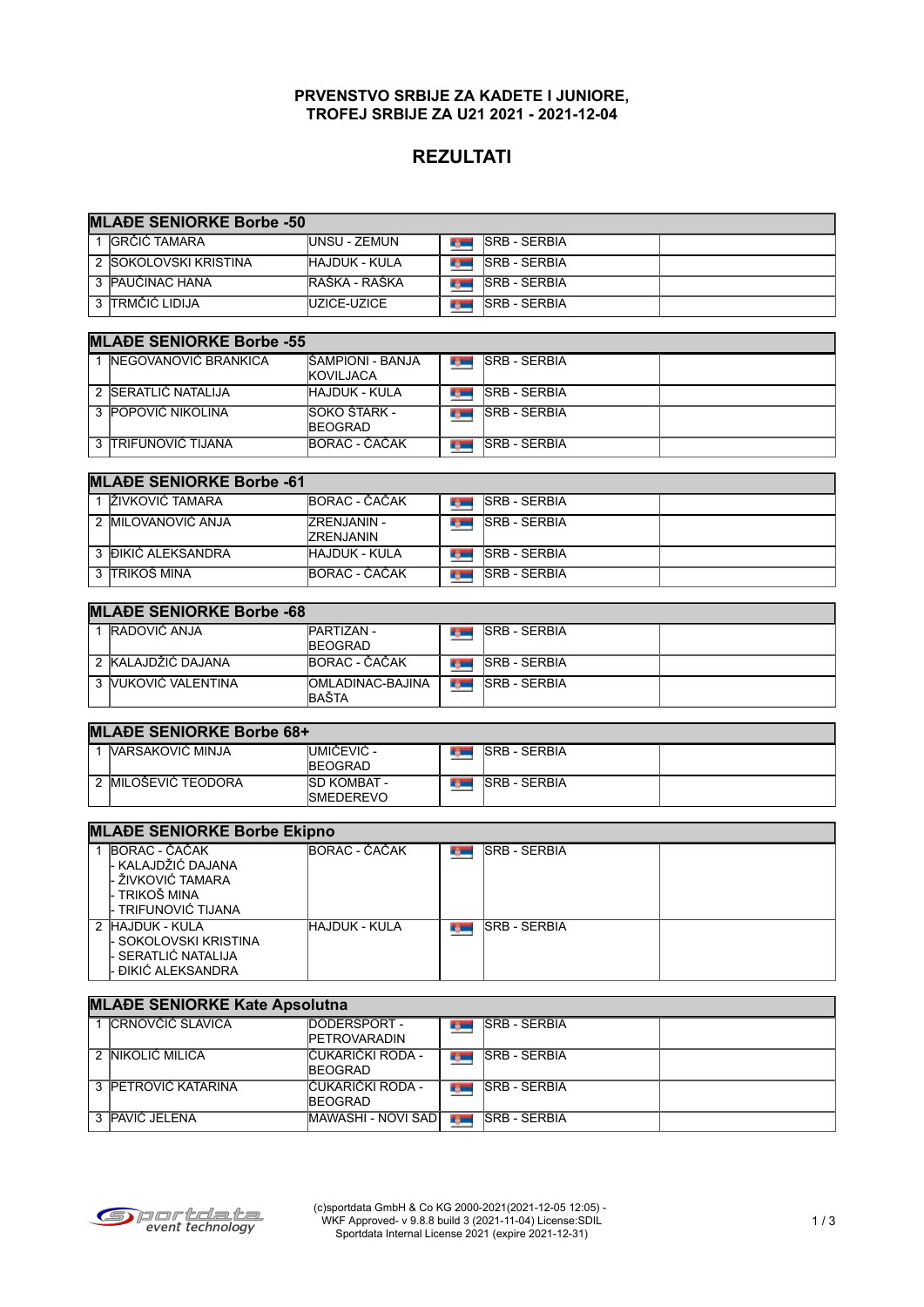#### **PRVENSTVO SRBIJE ZA KADETE I JUNIORE, TROFEJ SRBIJE ZA U21 2021 - 2021-12-04**

# **REZULTATI**

| <b>MLADE SENIORKE Borbe -50</b>                                                  |                                                      |               |                     |  |
|----------------------------------------------------------------------------------|------------------------------------------------------|---------------|---------------------|--|
| 1 IGRČIĆ TAMARA                                                                  | <b>UNSU - ZEMUN</b>                                  | <b>Type:</b>  | <b>SRB - SERBIA</b> |  |
| 2 SOKOLOVSKI KRISTINA                                                            | HAJDUK - KULA                                        | <b>Barnet</b> | <b>SRB - SERBIA</b> |  |
| 3 PAUČINAC HANA                                                                  | RAŠKA - RAŠKA                                        | <b>Barnet</b> | <b>SRB - SERBIA</b> |  |
| 3 TRMČIĆ LIDIJA                                                                  | UZICE-UZICE                                          | <b>By Co</b>  | <b>SRB - SERBIA</b> |  |
| <b>MLAĐE SENIORKE Borbe -55</b>                                                  |                                                      |               |                     |  |
| 1 NEGOVANOVIĆ BRANKICA                                                           | IŠAMPIONI - BANJA<br>KOVILJACA                       | r yw          | <b>SRB - SERBIA</b> |  |
| 2 SERATLIĆ NATALIJA                                                              | <b>HAJDUK - KULA</b>                                 | <b>Barnet</b> | <b>SRB - SERBIA</b> |  |
| 3 POPOVIĆ NIKOLINA                                                               | SOKO ŠTARK -<br>BEOGRAD                              | <b>Report</b> | <b>SRB - SERBIA</b> |  |
| 3 TRIFUNOVIĆ TIJANA                                                              | BORAC - ČAČAK                                        | <b>Report</b> | <b>SRB - SERBIA</b> |  |
| <b>MLAĐE SENIORKE Borbe -61</b>                                                  |                                                      |               |                     |  |
| 1 IŽIVKOVIĆ TAMARA                                                               | BORAC - ČAČAK                                        | <b>Type:</b>  | <b>SRB - SERBIA</b> |  |
| 2 MILOVANOVIĆ ANJA                                                               | ZRENJANIN -<br><b>ZRENJANIN</b>                      | <b>Type:</b>  | <b>SRB - SERBIA</b> |  |
| 3 ĐIKIĆ ALEKSANDRA                                                               | HAJDUK - KULA                                        | <b>Report</b> | <b>SRB - SERBIA</b> |  |
| 3 ITRIKOŠ MINA                                                                   | BORAC - ČAČAK                                        | <b>Barnet</b> | <b>SRB - SERBIA</b> |  |
| <b>MLAĐE SENIORKE Borbe -68</b>                                                  |                                                      |               |                     |  |
| 1 RADOVIĆ ANJA                                                                   | PARTIZAN -                                           |               | <b>SRB - SERBIA</b> |  |
|                                                                                  | BEOGRAD                                              | r gen         |                     |  |
| 2 KALAJDŽIĆ DAJANA                                                               | BORAC - ČAČAK                                        | r general     | <b>SRB - SERBIA</b> |  |
| 3 VUKOVIĆ VALENTINA                                                              | OMLADINAC-BAJINA<br>BAŠTA                            | <b>Remain</b> | <b>SRB - SERBIA</b> |  |
| <b>MLAĐE SENIORKE Borbe 68+</b>                                                  |                                                      |               |                     |  |
| 1 IVARSAKOVIĆ MINJA                                                              | UMIČEVIĆ -                                           | rg —          | <b>SRB - SERBIA</b> |  |
|                                                                                  | <b>BEOGRAD</b>                                       |               |                     |  |
| 2 MILOŠEVIĆ TEODORA                                                              | SD KOMBAT -<br>SMEDEREVO                             | r general     | <b>SRB - SERBIA</b> |  |
| <b>MLAĐE SENIORKE Borbe Ekipno</b>                                               |                                                      |               |                     |  |
| 1 BORAC - ČAČAK                                                                  | BORAC - ČAČAK                                        | r juni        | <b>SRB - SERBIA</b> |  |
| - KALAJDŽIĆ DAJANA<br>ŽIVKOVIĆ TAMARA<br><b>TRIKOŠ MINA</b><br>TRIFUNOVIĆ TIJANA |                                                      |               |                     |  |
| 2 HAJDUK - KULA                                                                  | <b>HAJDUK - KULA</b>                                 | r gen         | <b>SRB - SERBIA</b> |  |
| SOKOLOVSKI KRISTINA<br>SERATLIĆ NATALIJA<br>ĐIKIĆ ALEKSANDRA                     |                                                      |               |                     |  |
|                                                                                  |                                                      |               |                     |  |
| <b>MLAĐE SENIORKE Kate Apsolutna</b><br>1 CRNOVČIĆ SLAVICA                       | DODERSPORT -                                         | <b>Report</b> | <b>SRB - SERBIA</b> |  |
| 2 NIKOLIĆ MILICA                                                                 | PETROVARADIN<br>ČUKARIČKI RODA -                     | rg –          | <b>SRB - SERBIA</b> |  |
| 3 PETROVIĆ KATARINA                                                              | <b>BEOGRAD</b><br>ČUKARIČKI RODA -<br><b>BEOGRAD</b> | <b>Ryme</b>   | <b>SRB - SERBIA</b> |  |

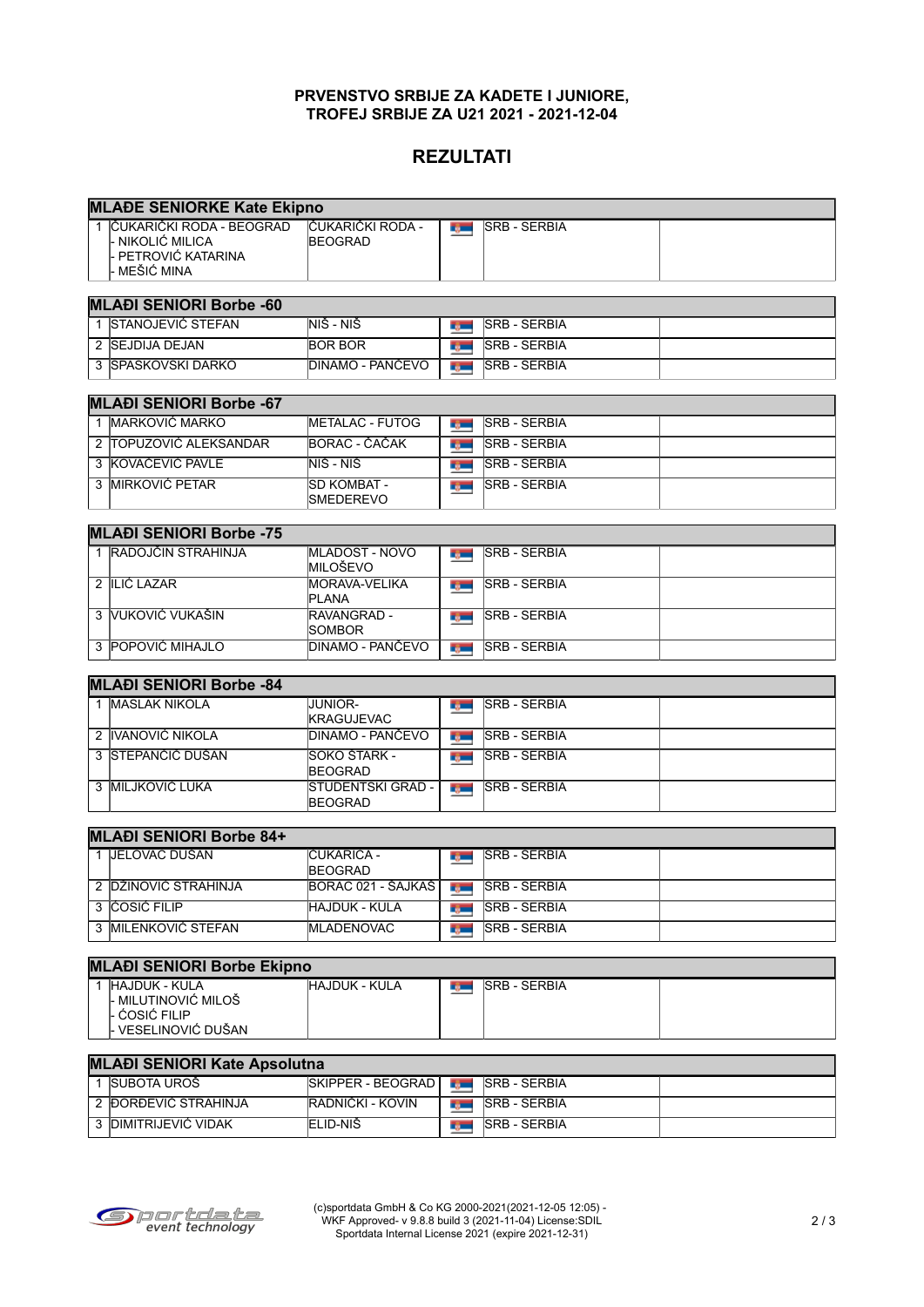#### **PRVENSTVO SRBIJE ZA KADETE I JUNIORE, TROFEJ SRBIJE ZA U21 2021 - 2021-12-04**

# **REZULTATI**

| <b>MLADE SENIORKE Kate Ekipno</b> |                                                                                              |                                            |                 |                      |  |  |  |  |
|-----------------------------------|----------------------------------------------------------------------------------------------|--------------------------------------------|-----------------|----------------------|--|--|--|--|
|                                   | <u> 1 IČUKARIČKI RODA - BEOGRAD</u><br>- NIKOLIĆ MILICA<br>- PETROVIĆ KATARINA<br>MEŠIĆ MINA | IČUKARIČKI RODA -<br><b>BEOGRAD</b>        | <b>Type:</b>    | <b>SRB - SERBIA</b>  |  |  |  |  |
|                                   | <b>MLAĐI SENIORI Borbe -60</b>                                                               |                                            |                 |                      |  |  |  |  |
|                                   | 1 STANOJEVIĆ STEFAN                                                                          | NIŠ - NIŠ                                  | <b>BS 200</b>   | <b>SRB - SERBIA</b>  |  |  |  |  |
|                                   | 2 SEJDIJA DEJAN                                                                              | <b>BOR BOR</b>                             | <b>TABLE</b>    | <b>SRB - SERBIA</b>  |  |  |  |  |
|                                   | 3 SPASKOVSKI DARKO                                                                           | <b>DINAMO - PANČEVO</b>                    | <b>Barnet</b>   | <b>SRB - SERBIA</b>  |  |  |  |  |
|                                   |                                                                                              |                                            |                 |                      |  |  |  |  |
|                                   | <b>MLAĐI SENIORI Borbe -67</b>                                                               |                                            |                 |                      |  |  |  |  |
|                                   | 1 MARKOVIĆ MARKO                                                                             | <b>METALAC - FUTOG</b>                     | r, m            | <b>SRB - SERBIA</b>  |  |  |  |  |
|                                   | 2 TOPUZOVIĆ ALEKSANDAR                                                                       | BORAC - ČAČAK                              | <b>By Li</b>    | <b>SRB - SERBIA</b>  |  |  |  |  |
|                                   | 3 KOVAČEVIĆ PAVLE                                                                            | NIŠ - NIŠ                                  | <b>Section</b>  | <b>SRB - SERBIA</b>  |  |  |  |  |
|                                   | 3 <b>IMIRKOVIĆ PETAR</b>                                                                     | SD KOMBAT -<br><b>SMEDEREVO</b>            | <b>Barnet</b>   | <b>SRB - SERBIA</b>  |  |  |  |  |
|                                   | <b>MLAĐI SENIORI Borbe -75</b>                                                               |                                            |                 |                      |  |  |  |  |
|                                   | 1 RADOJČIN STRAHINJA                                                                         | <b>MLADOST - NOVO</b><br>MILOŠEVO          | <b>Type:</b>    | <b>SRB - SERBIA</b>  |  |  |  |  |
|                                   | 2 ILIĆ LAZAR                                                                                 | <b>MORAVA-VELIKA</b><br><b>PLANA</b>       | r ym            | <b>SRB - SERBIA</b>  |  |  |  |  |
|                                   | 3 VUKOVIĆ VUKAŠIN                                                                            | RAVANGRAD -<br>SOMBOR                      | r gan           | <b>SRB - SERBIA</b>  |  |  |  |  |
|                                   | 3 POPOVIĆ MIHAJLO                                                                            | <b>DINAMO - PANČEVO</b>                    | <b>Security</b> | <b>SRB - SERBIA</b>  |  |  |  |  |
|                                   | <b>MLAĐI SENIORI Borbe -84</b>                                                               |                                            |                 |                      |  |  |  |  |
|                                   | 1 <b>MASLAK NIKOLA</b>                                                                       | <b>JUNIOR-</b>                             |                 | <b>SRB - SERBIA</b>  |  |  |  |  |
|                                   |                                                                                              | KRAGUJEVAC                                 | r ym            |                      |  |  |  |  |
|                                   | 2 IVANOVIĆ NIKOLA                                                                            | <b>DINAMO - PANČEVO</b>                    | <b>Type:</b>    | <b>SRB - SERBIA</b>  |  |  |  |  |
|                                   | 3 STEPANČIĆ DUŠAN                                                                            | SOKO ŠTARK -<br><b>BEOGRAD</b>             | <b>By Li</b>    | <b>SRB - SERBIA</b>  |  |  |  |  |
|                                   | <b>3 IMILJKOVIĆ LUKA</b>                                                                     | <b>STUDENTSKI GRAD -</b><br><b>BEOGRAD</b> | <b>Type:</b>    | <b>SRB - SERBIA</b>  |  |  |  |  |
| <b>MLAĐI SENIORI Borbe 84+</b>    |                                                                                              |                                            |                 |                      |  |  |  |  |
|                                   | 1 JELOVAC DUŠAN                                                                              | IČUKARICA -<br><b>BEOGRAD</b>              | <b>Type:</b>    | <b>SRB - SERBIA</b>  |  |  |  |  |
|                                   | 2 DŽINOVIĆ STRAHINJA                                                                         | BORAC 021 - ŠAJKAŠ                         | r gan           | <b>ISRB - SERBIA</b> |  |  |  |  |
|                                   | 3 COSIC FILIP                                                                                | <b>HAJDUK - KULA</b>                       | <b>By Co</b>    | <b>SRB - SERBIA</b>  |  |  |  |  |
|                                   | 3 MILENKOVIĆ STEFAN                                                                          | <b>MLADENOVAC</b>                          | <b>Type:</b>    | <b>SRB - SERBIA</b>  |  |  |  |  |
|                                   | <b>MLAĐI SENIORI Borbe Ekipno</b>                                                            |                                            |                 |                      |  |  |  |  |
|                                   | 1 HAJDUK - KULA<br>- MILUTINOVIĆ MILOŠ<br>- ĆOSIĆ FILIP<br>- VESELINOVIĆ DUŠAN               | <b>HAJDUK - KULA</b>                       | r, m            | <b>SRB - SERBIA</b>  |  |  |  |  |

### **MLAĐI SENIORI Kate Apsolutna**<br>1 SUBOTA UROŠ [SK SKIPPER - BEOGRAD | **NGC SAGRAD SRB - SERBIA** 2 ĐORĐEVIĆ STRAHINJA RADNIČKI - KOVIN SRB - SERBIA 3 DIMITRIJEVIĆ VIDAK ELID-NIŠ SRB - SERBIA